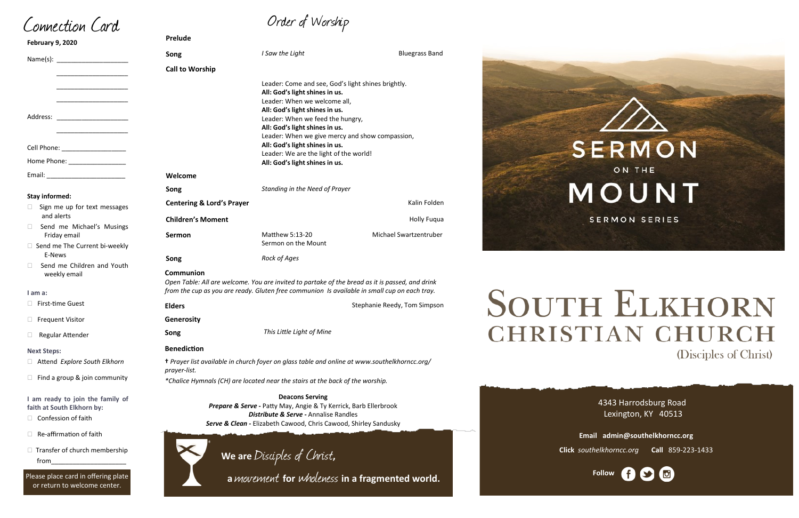# Order of Worship

4343 Harrodsburg Road Lexington, KY 40513

| <b>February 9, 2020</b>                                                                                                                                                                                                                                                    | Prelude                                                                                                             |                                                                                                                                                        |                              |  |
|----------------------------------------------------------------------------------------------------------------------------------------------------------------------------------------------------------------------------------------------------------------------------|---------------------------------------------------------------------------------------------------------------------|--------------------------------------------------------------------------------------------------------------------------------------------------------|------------------------------|--|
|                                                                                                                                                                                                                                                                            | Song                                                                                                                | I Saw the Light                                                                                                                                        | <b>Bluegrass Band</b>        |  |
|                                                                                                                                                                                                                                                                            | <b>Call to Worship</b>                                                                                              |                                                                                                                                                        |                              |  |
| <u> 1989 - Johann John Stone, mars et al.</u>                                                                                                                                                                                                                              |                                                                                                                     | Leader: Come and see, God's light shines brightly.<br>All: God's light shines in us.<br>Leader: When we welcome all,<br>All: God's light shines in us. |                              |  |
| Address: _________________________<br><u> 1980 - Johann John Harry Harry Harry Harry Harry Harry Harry Harry Harry Harry Harry Harry Harry Harry Harry Harry Harry Harry Harry Harry Harry Harry Harry Harry Harry Harry Harry Harry Harry Harry Harry Harry Harry Har</u> |                                                                                                                     | Leader: When we feed the hungry,<br>All: God's light shines in us.<br>Leader: When we give mercy and show compassion,                                  |                              |  |
| Cell Phone: ____________________                                                                                                                                                                                                                                           | All: God's light shines in us.                                                                                      |                                                                                                                                                        |                              |  |
| Home Phone: ___________________                                                                                                                                                                                                                                            | Leader: We are the light of the world!<br>All: God's light shines in us.                                            |                                                                                                                                                        |                              |  |
|                                                                                                                                                                                                                                                                            | Welcome                                                                                                             |                                                                                                                                                        |                              |  |
|                                                                                                                                                                                                                                                                            | Song                                                                                                                | Standing in the Need of Prayer                                                                                                                         |                              |  |
| <b>Stay informed:</b><br>Sign me up for text messages                                                                                                                                                                                                                      | <b>Centering &amp; Lord's Prayer</b>                                                                                |                                                                                                                                                        | Kalin Folden                 |  |
| and alerts                                                                                                                                                                                                                                                                 | <b>Children's Moment</b>                                                                                            |                                                                                                                                                        | <b>Holly Fuqua</b>           |  |
| Send me Michael's Musings<br>Friday email                                                                                                                                                                                                                                  | Sermon                                                                                                              | Matthew 5:13-20<br>Sermon on the Mount                                                                                                                 | Michael Swartzentruber       |  |
| □ Send me The Current bi-weekly<br>E-News                                                                                                                                                                                                                                  | Song                                                                                                                | Rock of Ages                                                                                                                                           |                              |  |
| Send me Children and Youth<br>weekly email                                                                                                                                                                                                                                 | Communion<br>Open Table: All are welcome. You are invited to partake of the bread as it is passed, and drink        |                                                                                                                                                        |                              |  |
| I am a:                                                                                                                                                                                                                                                                    |                                                                                                                     | from the cup as you are ready. Gluten free communion Is available in small cup on each tray.                                                           |                              |  |
| <b>First-time Guest</b>                                                                                                                                                                                                                                                    | <b>Elders</b>                                                                                                       |                                                                                                                                                        | Stephanie Reedy, Tom Simpson |  |
| $\Box$ Frequent Visitor                                                                                                                                                                                                                                                    | Generosity                                                                                                          |                                                                                                                                                        |                              |  |
| <b>Regular Attender</b>                                                                                                                                                                                                                                                    | Song                                                                                                                | This Little Light of Mine                                                                                                                              |                              |  |
| <b>Next Steps:</b>                                                                                                                                                                                                                                                         | <b>Benediction</b>                                                                                                  |                                                                                                                                                        |                              |  |
| Attend Explore South Elkhorn                                                                                                                                                                                                                                               | <i>t Prayer list available in church foyer on glass table and online at www.southelkhorncc.org/</i><br>prayer-list. |                                                                                                                                                        |                              |  |
| Find a group & join community                                                                                                                                                                                                                                              | *Chalice Hymnals (CH) are located near the stairs at the back of the worship.                                       |                                                                                                                                                        |                              |  |
| I am ready to join the family of<br>faith at South Elkhorn by:                                                                                                                                                                                                             | <b>Deacons Serving</b><br>Prepare & Serve - Patty May, Angie & Ty Kerrick, Barb Ellerbrook                          |                                                                                                                                                        |                              |  |
| Confession of faith                                                                                                                                                                                                                                                        | Distribute & Serve - Annalise Randles<br>Serve & Clean - Elizabeth Cawood, Chris Cawood, Shirley Sandusky           |                                                                                                                                                        |                              |  |
| Re-affirmation of faith                                                                                                                                                                                                                                                    |                                                                                                                     |                                                                                                                                                        |                              |  |
| $\Box$ Transfer of church membership<br>from                                                                                                                                                                                                                               |                                                                                                                     | We are Disciples of Christ,                                                                                                                            |                              |  |
|                                                                                                                                                                                                                                                                            |                                                                                                                     |                                                                                                                                                        |                              |  |



**Email admin@southelkhorncc.org**

**Click** *southelkhorncc.org* **Call** 859-223-1433

Connection Card

from\_\_\_\_\_\_\_\_\_\_\_\_\_\_\_\_\_\_\_\_\_



# OUTH ELKHORN HRISTIAN CHURCH (Disciples of Christ)

Please place card in offering plate

or return to welcome center.

 **<sup>a</sup>**movement **for** wholeness **in a fragmented world.**